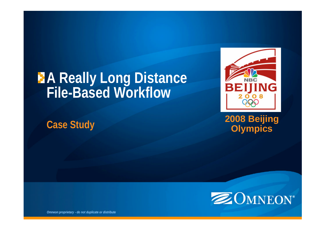# **A Really Long Distance File-Based Workflow**

**Case Study**



**2008 Beijing Olympics**



*Omneon proprietary - do not duplicate or distribute*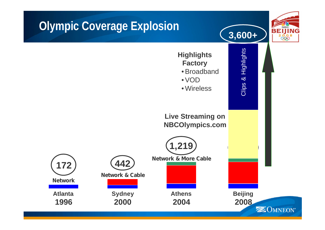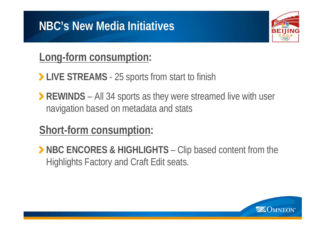## **NBC's New Media Initiatives**

## **Long-form consumption:**

- **EXAMS** 25 sports from start to finish
- **PICK 24 SPORTS** All 34 sports as they were streamed live with user navigation based on metadata and stats

# **Short-form consumption:**

**> NBC ENCORES & HIGHLIGHTS** – Clip based content from the Highlights Factory and Craft Edit seats.

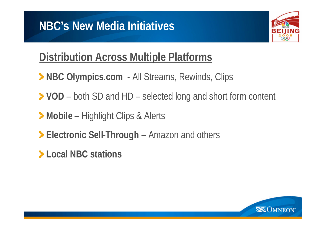

## **Distribution Across Multiple Platforms**

- **> NBC Olympics.com** All Streams, Rewinds, Clips
- **VOD** both SD and HD selected long and short form content
- **Mobile** Highlight Clips & Alerts
- **Electronic Sell-Through** Amazon and others
- **Local NBC stations**

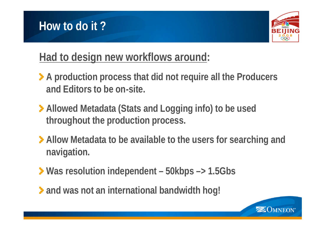



#### **Had to design new workflows around:**

- **A production process that did not require all the Producers and Editors to be on-site.**
- **Allowed Metadata (Stats and Logging info) to be used throughout the production process.**
- **Allow Metadata to be available to the users for searching and navigation.**
- **Was resolution independent – 50kbps –> 1.5Gbs**
- **and was not an international bandwidth hog!**